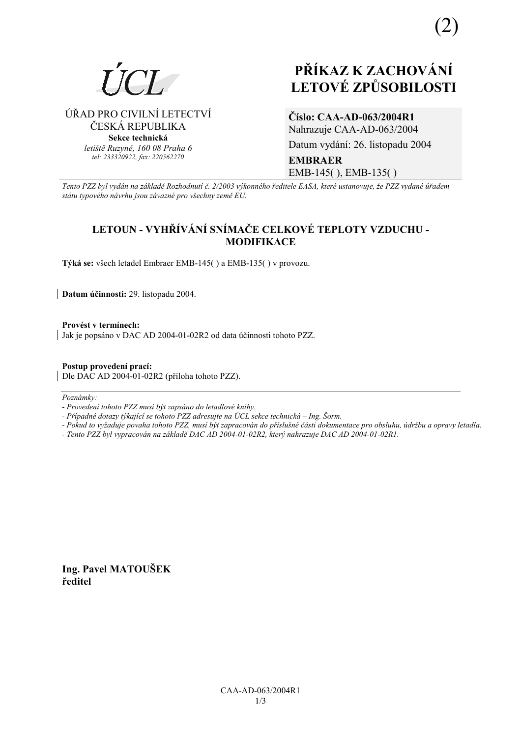

ÚŘAD PRO CIVILNÍ LETECTVÍ ČESKÁ REPUBLIKA **Sekce technická** *letiötě Ruzyně, 160 08 Praha 6 tel: 233320922, fax: 220562270*

# **PŘÍKAZ K ZACHOVÁNÍ LETOV… ZPŮSOBILOSTI**

**ČÌslo: CAA-AD-063/2004R1** Nahrazuje CAA-AD-063/2004 Datum vydání: 26. listopadu 2004 **EMBRAER**  EMB-145( ), EMB-135( )

*Tento PZZ byl vyd·n na z·kladě RozhodnutÌ č. 2/2003 v˝konnÈho ředitele EASA, kterÈ ustanovuje, ûe PZZ vydanÈ ˙řadem st·tu typovÈho n·vrhu jsou z·vaznÈ pro vöechny země EU.*

# **LETOUN - VYHŘÕV£NÕ SNÕMAČE CELKOV… TEPLOTY VZDUCHU - MODIFIKACE**

**T˝k· se:** vöech letadel Embraer EMB-145( ) a EMB-135( ) v provozu.

**Datum ˙činnosti:** 29. listopadu 2004.

Provést v termínech: Jak je popsáno v DAC AD 2004-01-02R2 od data účinnosti tohoto PZZ.

**Postup provedenÌ pracÌ:** 

Dle DAC AD 2004-01-02R2 (příloha tohoto PZZ).

Poznámky:

*- ProvedenÌ tohoto PZZ musÌ b˝t zaps·no do letadlovÈ knihy.* 

- Případné dotazy týkající se tohoto PZZ adresujte na ÚCL sekce technická – Ing. Šorm.

*- Pokud to vyûaduje povaha tohoto PZZ, musÌ b˝t zapracov·n do přÌsluönÈ č·sti dokumentace pro obsluhu, ˙drûbu a opravy letadla.* 

*- Tento PZZ byl vypracov·n na z·kladě DAC AD 2004-01-02R2, kter˝ nahrazuje DAC AD 2004-01-02R1.* 

**Ing. Pavel MATOUäEK ředitel**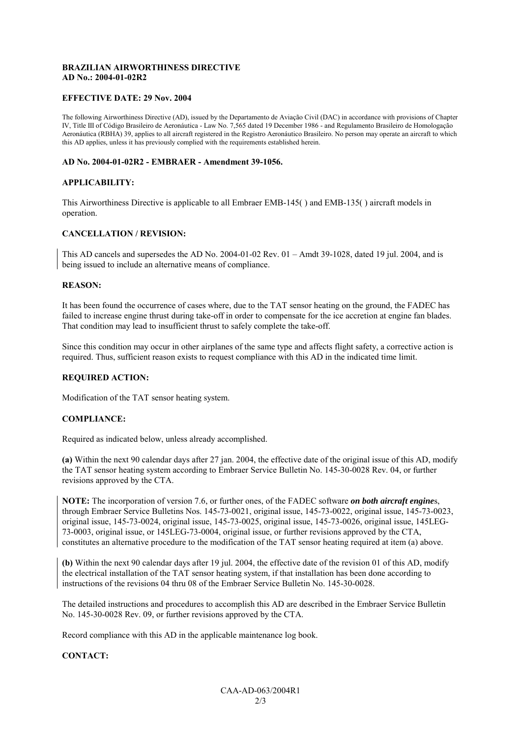### **BRAZILIAN AIRWORTHINESS DIRECTIVE AD No.: 2004-01-02R2**

#### **EFFECTIVE DATE: 29 Nov. 2004**

The following Airworthiness Directive (AD), issued by the Departamento de Aviação Civil (DAC) in accordance with provisions of Chapter IV, Title III of Código Brasileiro de Aeronáutica - Law No. 7,565 dated 19 December 1986 - and Regulamento Brasileiro de Homologação Aeronáutica (RBHA) 39, applies to all aircraft registered in the Registro Aeronáutico Brasileiro. No person may operate an aircraft to which this AD applies, unless it has previously complied with the requirements established herein.

#### **AD No. 2004-01-02R2 - EMBRAER - Amendment 39-1056.**

#### **APPLICABILITY:**

This Airworthiness Directive is applicable to all Embraer EMB-145( ) and EMB-135( ) aircraft models in operation.

#### **CANCELLATION / REVISION:**

This AD cancels and supersedes the AD No. 2004-01-02 Rev.  $01 -$ Amdt 39-1028, dated 19 jul. 2004, and is being issued to include an alternative means of compliance.

#### **REASON:**

It has been found the occurrence of cases where, due to the TAT sensor heating on the ground, the FADEC has failed to increase engine thrust during take-off in order to compensate for the ice accretion at engine fan blades. That condition may lead to insufficient thrust to safely complete the take-off.

Since this condition may occur in other airplanes of the same type and affects flight safety, a corrective action is required. Thus, sufficient reason exists to request compliance with this AD in the indicated time limit.

#### **REQUIRED ACTION:**

Modification of the TAT sensor heating system.

#### **COMPLIANCE:**

Required as indicated below, unless already accomplished.

**(a)** Within the next 90 calendar days after 27 jan. 2004, the effective date of the original issue of this AD, modify the TAT sensor heating system according to Embraer Service Bulletin No. 145-30-0028 Rev. 04, or further revisions approved by the CTA.

**NOTE:** The incorporation of version 7.6, or further ones, of the FADEC software *on both aircraft engine*s, through Embraer Service Bulletins Nos. 145-73-0021, original issue, 145-73-0022, original issue, 145-73-0023, original issue, 145-73-0024, original issue, 145-73-0025, original issue, 145-73-0026, original issue, 145LEG-73-0003, original issue, or 145LEG-73-0004, original issue, or further revisions approved by the CTA, constitutes an alternative procedure to the modification of the TAT sensor heating required at item (a) above.

**(b)** Within the next 90 calendar days after 19 jul. 2004, the effective date of the revision 01 of this AD, modify the electrical installation of the TAT sensor heating system, if that installation has been done according to instructions of the revisions 04 thru 08 of the Embraer Service Bulletin No. 145-30-0028.

The detailed instructions and procedures to accomplish this AD are described in the Embraer Service Bulletin No. 145-30-0028 Rev. 09, or further revisions approved by the CTA.

Record compliance with this AD in the applicable maintenance log book.

#### **CONTACT:**